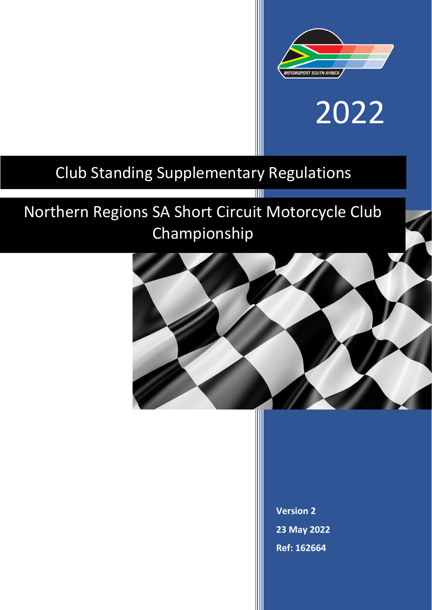

# 2022

## Club Standing Supplementary Regulations

# Northern Regions SA Short Circuit Motorcycle Club Championship



T

**Version 2 23 May 2022 Ref: 162664**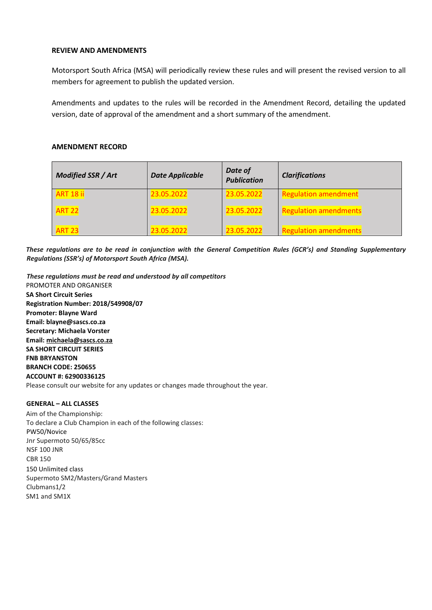#### **REVIEW AND AMENDMENTS**

Motorsport South Africa (MSA) will periodically review these rules and will present the revised version to all members for agreement to publish the updated version.

Amendments and updates to the rules will be recorded in the Amendment Record, detailing the updated version, date of approval of the amendment and a short summary of the amendment.

#### **AMENDMENT RECORD**

| <b>Modified SSR / Art</b> | <b>Date Applicable</b> | Date of<br><b>Publication</b> | <b>Clarifications</b>        |
|---------------------------|------------------------|-------------------------------|------------------------------|
| <b>ART 18 ii</b>          | 23.05.2022             | 23.05.2022                    | <b>Regulation amendment</b>  |
| <b>ART 22</b>             | 23.05.2022             | 23.05.2022                    | <b>Regulation amendments</b> |
| <b>ART 23</b>             | 23.05.2022             | 23.05.2022                    | <b>Regulation amendments</b> |

These regulations are to be read in conjunction with the General Competition Rules (GCR's) and Standing Supplementary *Regulations (SSR's) of Motorsport South Africa (MSA).*

*These regulations must be read and understood by all competitors* PROMOTER AND ORGANISER **SA Short Circuit Series Registration Number: 2018/549908/07 Promoter: Blayne Ward Email: blayne@sascs.co.za Secretary: Michaela Vorster Email: [michaela@sascs.co.za](mailto:michaela@sascs.co.za) SA SHORT CIRCUIT SERIES FNB BRYANSTON BRANCH CODE: 250655 ACCOUNT #: 62900336125** Please consult our website for any updates or changes made throughout the year.

#### **GENERAL – ALL CLASSES**

Aim of the Championship: To declare a Club Champion in each of the following classes: PW50/Novice Jnr Supermoto 50/65/85cc NSF 100 JNR CBR 150 150 Unlimited class Supermoto SM2/Masters/Grand Masters Clubmans1/2 SM1 and SM1X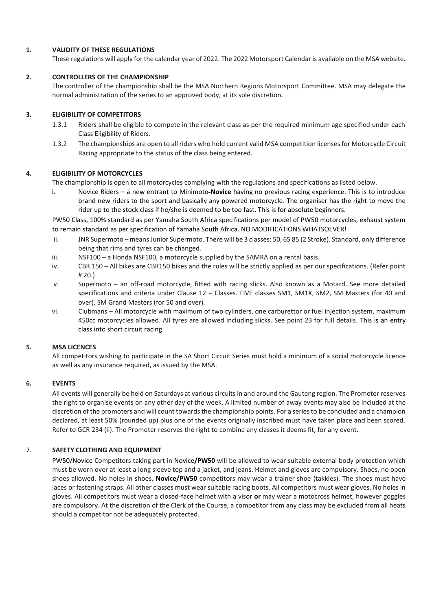#### **1. VALIDITY OF THESE REGULATIONS**

These regulations will apply for the calendar year of 2022. The 2022 Motorsport Calendar is available on the MSA website.

#### **2. CONTROLLERS OF THE CHAMPIONSHIP**

The controller of the championship shall be the MSA Northern Regions Motorsport Committee. MSA may delegate the normal administration of the series to an approved body, at its sole discretion.

#### **3. ELIGIBILITY OF COMPETITORS**

- 1.3.1 Riders shall be eligible to compete in the relevant class as per the required minimum age specified under each Class Eligibility of Riders.
- 1.3.2 The championships are open to all riders who hold current valid MSA competition licenses for Motorcycle Circuit Racing appropriate to the status of the class being entered.

#### **4. ELIGIBILITY OF MOTORCYCLES**

The championship is open to all motorcycles complying with the regulations and specifications as listed below.

i. Novice Riders – a new entrant to Minimoto **Novice** having no previous racing experience. This is to introduce brand new riders to the sport and basically any powered motorcycle. The organiser has the right to move the rider up to the stock class if he/she is deemed to be too fast. This is for absolute beginners.

PW50 Class, 100% standard as per Yamaha South Africa specifications per model of PW50 motorcycles, exhaust system to remain standard as per specification of Yamaha South Africa. NO MODIFICATIONS WHATSOEVER!

- ii. JNR Supermoto means Junior Supermoto. There will be 3 classes; 50, 65 85 (2 Stroke). Standard, only difference being that rims and tyres can be changed.
- iii. NSF100 a Honda NSF100, a motorcycle supplied by the SAMRA on a rental basis.
- iv. CBR 150 All bikes are CBR150 bikes and the rules will be strictly applied as per our specifications. (Refer point # 20.)
- v. Supermoto an off-road motorcycle, fitted with racing slicks. Also known as a Motard. See more detailed specifications and criteria under Clause 12 – Classes. FIVE classes SM1, SM1X, SM2, SM Masters (for 40 and over), SM Grand Masters (for 50 and over).
- vi. Clubmans All motorcycle with maximum of two cylinders, one carburettor or fuel injection system, maximum 450cc motorcycles allowed. All tyres are allowed including slicks. See point 23 for full details. This is an entry class into short circuit racing.

#### **5. MSA LICENCES**

All competitors wishing to participate in the SA Short Circuit Series must hold a minimum of a social motorcycle licence as well as any insurance required, as issued by the MSA.

#### **6. EVENTS**

All events will generally be held on Saturdays at various circuits in and around the Gauteng region. The Promoter reserves the right to organise events on any other day of the week. A limited number of away events may also be included at the discretion of the promoters and will count towards the championship points. For a series to be concluded and a champion declared, at least 50% (rounded up) plus one of the events originally inscribed must have taken place and been scored. Refer to GCR 234 (ii). The Promoter reserves the right to combine any classes it deems fit, for any event.

#### 7. **SAFETY CLOTHING AND EQUIPMENT**

PW50/Novice Competitors taking part in Novice**/PW50** will be allowed to wear suitable external body protection which must be worn over at least a long sleeve top and a jacket, and jeans. Helmet and gloves are compulsory. Shoes, no open shoes allowed. No holes in shoes. **Novice/PW50** competitors may wear a trainer shoe (takkies). The shoes must have laces or fastening straps. All other classes must wear suitable racing boots. All competitors must wear gloves. No holes in gloves. All competitors must wear a closed-face helmet with a visor **or** may wear a motocross helmet, however goggles are compulsory. At the discretion of the Clerk of the Course, a competitor from any class may be excluded from all heats should a competitor not be adequately protected.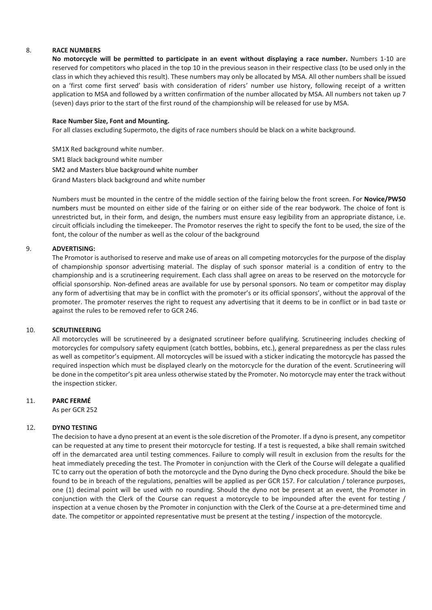#### 8. **RACE NUMBERS**

**No motorcycle will be permitted to participate in an event without displaying a race number.** Numbers 1-10 are reserved for competitors who placed in the top 10 in the previous season in their respective class (to be used only in the class in which they achieved this result). These numbers may only be allocated by MSA. All other numbers shall be issued on a 'first come first served' basis with consideration of riders' number use history, following receipt of a written application to MSA and followed by a written confirmation of the number allocated by MSA. All numbers not taken up 7 (seven) days prior to the start of the first round of the championship will be released for use by MSA.

#### **Race Number Size, Font and Mounting.**

For all classes excluding Supermoto, the digits of race numbers should be black on a white background.

SM1X Red background white number. SM1 Black background white number SM2 and Masters blue background white number

Grand Masters black background and white number

Numbers must be mounted in the centre of the middle section of the fairing below the front screen. For **Novice/PW50**  numbers must be mounted on either side of the fairing or on either side of the rear bodywork. The choice of font is unrestricted but, in their form, and design, the numbers must ensure easy legibility from an appropriate distance, i.e. circuit officials including the timekeeper. The Promotor reserves the right to specify the font to be used, the size of the font, the colour of the number as well as the colour of the background

#### 9. **ADVERTISING:**

The Promotor is authorised to reserve and make use of areas on all competing motorcycles for the purpose of the display of championship sponsor advertising material. The display of such sponsor material is a condition of entry to the championship and is a scrutineering requirement. Each class shall agree on areas to be reserved on the motorcycle for official sponsorship. Non-defined areas are available for use by personal sponsors. No team or competitor may display any form of advertising that may be in conflict with the promoter's or its official sponsors', without the approval of the promoter. The promoter reserves the right to request any advertising that it deems to be in conflict or in bad taste or against the rules to be removed refer to GCR 246.

#### 10. **SCRUTINEERING**

All motorcycles will be scrutineered by a designated scrutineer before qualifying. Scrutineering includes checking of motorcycles for compulsory safety equipment (catch bottles, bobbins, etc.), general preparedness as per the class rules as well as competitor's equipment. All motorcycles will be issued with a sticker indicating the motorcycle has passed the required inspection which must be displayed clearly on the motorcycle for the duration of the event. Scrutineering will be done in the competitor's pit area unless otherwise stated by the Promoter. No motorcycle may enter the track without the inspection sticker.

#### 11. **PARC FERMÉ**

As per GCR 252

#### 12. **DYNO TESTING**

The decision to have a dyno present at an event is the sole discretion of the Promoter. If a dyno is present, any competitor can be requested at any time to present their motorcycle for testing. If a test is requested, a bike shall remain switched off in the demarcated area until testing commences. Failure to comply will result in exclusion from the results for the heat immediately preceding the test. The Promoter in conjunction with the Clerk of the Course will delegate a qualified TC to carry out the operation of both the motorcycle and the Dyno during the Dyno check procedure. Should the bike be found to be in breach of the regulations, penalties will be applied as per GCR 157. For calculation / tolerance purposes, one (1) decimal point will be used with no rounding. Should the dyno not be present at an event, the Promoter in conjunction with the Clerk of the Course can request a motorcycle to be impounded after the event for testing / inspection at a venue chosen by the Promoter in conjunction with the Clerk of the Course at a pre-determined time and date. The competitor or appointed representative must be present at the testing / inspection of the motorcycle.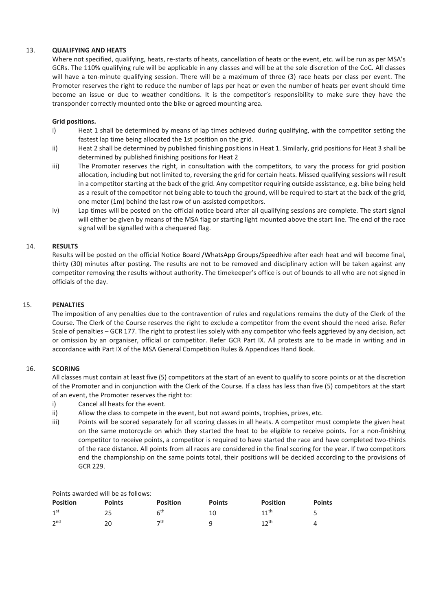#### 13. **QUALIFYING AND HEATS**

Where not specified, qualifying, heats, re-starts of heats, cancellation of heats or the event, etc. will be run as per MSA's GCRs. The 110% qualifying rule will be applicable in any classes and will be at the sole discretion of the CoC. All classes will have a ten-minute qualifying session. There will be a maximum of three (3) race heats per class per event. The Promoter reserves the right to reduce the number of laps per heat or even the number of heats per event should time become an issue or due to weather conditions. It is the competitor's responsibility to make sure they have the transponder correctly mounted onto the bike or agreed mounting area.

#### **Grid positions.**

- i) Heat 1 shall be determined by means of lap times achieved during qualifying, with the competitor setting the fastest lap time being allocated the 1st position on the grid.
- ii) Heat 2 shall be determined by published finishing positions in Heat 1. Similarly, grid positions for Heat 3 shall be determined by published finishing positions for Heat 2
- iii) The Promoter reserves the right, in consultation with the competitors, to vary the process for grid position allocation, including but not limited to, reversing the grid for certain heats. Missed qualifying sessions will result in a competitor starting at the back of the grid. Any competitor requiring outside assistance, e.g. bike being held as a result of the competitor not being able to touch the ground, will be required to start at the back of the grid, one meter (1m) behind the last row of un-assisted competitors.
- iv) Lap times will be posted on the official notice board after all qualifying sessions are complete. The start signal will either be given by means of the MSA flag or starting light mounted above the start line. The end of the race signal will be signalled with a chequered flag.

#### 14. **RESULTS**

Results will be posted on the official Notice Board /WhatsApp Groups/Speedhive after each heat and will become final, thirty (30) minutes after posting. The results are not to be removed and disciplinary action will be taken against any competitor removing the results without authority. The timekeeper's office is out of bounds to all who are not signed in officials of the day.

#### 15. **PENALTIES**

The imposition of any penalties due to the contravention of rules and regulations remains the duty of the Clerk of the Course. The Clerk of the Course reserves the right to exclude a competitor from the event should the need arise. Refer Scale of penalties – GCR 177. The right to protest lies solely with any competitor who feels aggrieved by any decision, act or omission by an organiser, official or competitor. Refer GCR Part IX. All protests are to be made in writing and in accordance with Part IX of the MSA General Competition Rules & Appendices Hand Book.

#### 16. **SCORING**

All classes must contain at least five (5) competitors at the start of an event to qualify to score points or at the discretion of the Promoter and in conjunction with the Clerk of the Course. If a class has less than five (5) competitors at the start of an event, the Promoter reserves the right to:

- i) Cancel all heats for the event.
- ii) Allow the class to compete in the event, but not award points, trophies, prizes, etc.
- iii) Points will be scored separately for all scoring classes in all heats. A competitor must complete the given heat on the same motorcycle on which they started the heat to be eligible to receive points. For a non-finishing competitor to receive points, a competitor is required to have started the race and have completed two-thirds of the race distance. All points from all races are considered in the final scoring for the year. If two competitors end the championship on the same points total, their positions will be decided according to the provisions of GCR 229.

#### Points awarded will be as follows:

| <b>Position</b> | <b>Points</b> | <b>Position</b> | <b>Points</b> | <b>Position</b>  | <b>Points</b> |
|-----------------|---------------|-----------------|---------------|------------------|---------------|
| 1 <sup>st</sup> | 25            | 6 <sup>th</sup> | 10            | 11 <sup>th</sup> |               |
| 2 <sup>nd</sup> | 20            | っth             | a             | 12 <sup>th</sup> | 4             |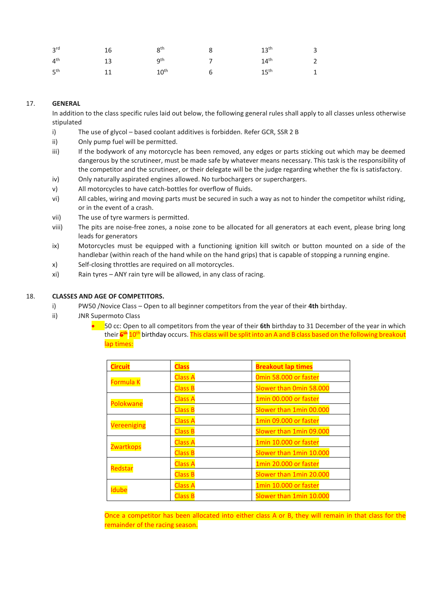| 3 <sup>rd</sup> | 16 | $8^{\rm th}$     | $13^{\text{th}}$ | $\overline{3}$ |
|-----------------|----|------------------|------------------|----------------|
| $4^{\text{th}}$ | 13 | gth              | $14^{\text{th}}$ | $2^{\circ}$    |
| $5^{\text{th}}$ | 11 | $10^{\text{th}}$ | $15^{\sf th}$    | 1              |

#### 17. **GENERAL**

In addition to the class specific rules laid out below, the following general rules shall apply to all classes unless otherwise stipulated

- i) The use of glycol based coolant additives is forbidden. Refer GCR, SSR 2 B
- ii) Only pump fuel will be permitted.
- iii) If the bodywork of any motorcycle has been removed, any edges or parts sticking out which may be deemed dangerous by the scrutineer, must be made safe by whatever means necessary. This task is the responsibility of the competitor and the scrutineer, or their delegate will be the judge regarding whether the fix is satisfactory.
- iv) Only naturally aspirated engines allowed. No turbochargers or superchargers.
- v) All motorcycles to have catch-bottles for overflow of fluids.
- vi) All cables, wiring and moving parts must be secured in such a way as not to hinder the competitor whilst riding, or in the event of a crash.
- vii) The use of tyre warmers is permitted.
- viii) The pits are noise-free zones, a noise zone to be allocated for all generators at each event, please bring long leads for generators
- ix) Motorcycles must be equipped with a functioning ignition kill switch or button mounted on a side of the handlebar (within reach of the hand while on the hand grips) that is capable of stopping a running engine.
- x) Self-closing throttles are required on all motorcycles.
- xi) Rain tyres ANY rain tyre will be allowed, in any class of racing.

#### 18. **CLASSES AND AGE OF COMPETITORS.**

- i) PW50 /Novice Class Open to all beginner competitors from the year of their **4th** birthday.
- ii) JNR Supermoto Class
	- 50 cc: Open to all competitors from the year of their **6th** birthday to 31 December of the year in which their **6 th** 10th birthday occurs. This class will be split into an A and B class based on the following breakout lap times:

| <b>Circuit</b>   | <b>Class</b>   | <b>Breakout lap times</b> |  |
|------------------|----------------|---------------------------|--|
| <b>Formula K</b> | <b>Class A</b> | Omin 58,000 or faster     |  |
|                  | <b>Class B</b> | Slower than Omin 58.000   |  |
| Polokwane        | <b>Class A</b> | 1min 00.000 or faster     |  |
|                  | <b>Class B</b> | Slower than 1min 00.000   |  |
| Vereeniging      | <b>Class A</b> | 1min 09.000 or faster     |  |
|                  | <b>Class B</b> | Slower than 1min 09.000   |  |
| <b>Zwartkops</b> | <b>Class A</b> | 1min 10.000 or faster     |  |
|                  | <b>Class B</b> | Slower than 1min 10.000   |  |
| Redstar          | <b>Class A</b> | 1min 20.000 or faster     |  |
|                  | <b>Class B</b> | Slower than 1min 20.000   |  |
| <b>Idube</b>     | <b>Class A</b> | 1min 10.000 or faster     |  |
|                  | <b>Class B</b> | Slower than 1min 10.000   |  |

Once a competitor has been allocated into either class A or B, they will remain in that class for the remainder of the racing season.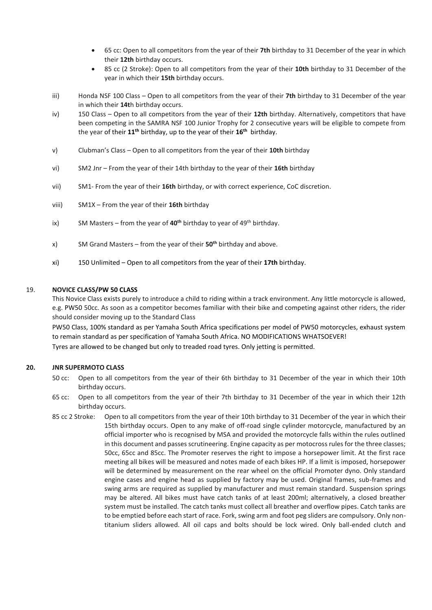- 65 cc: Open to all competitors from the year of their **7th** birthday to 31 December of the year in which their **12th** birthday occurs.
- 85 cc (2 Stroke): Open to all competitors from the year of their **10th** birthday to 31 December of the year in which their **15th** birthday occurs.
- iii) Honda NSF 100 Class Open to all competitors from the year of their **7th** birthday to 31 December of the year in which their **14t**h birthday occurs.
- iv) 150 Class Open to all competitors from the year of their **12th** birthday. Alternatively, competitors that have been competing in the SAMRA NSF 100 Junior Trophy for 2 consecutive years will be eligible to compete from the year of their **11th** birthday, up to the year of their **16th** birthday.
- v) Clubman's Class Open to all competitors from the year of their **10th** birthday
- vi) SM2 Jnr From the year of their 14th birthday to the year of their **16th** birthday
- vii) SM1- From the year of their **16th** birthday, or with correct experience, CoC discretion.
- viii) SM1X From the year of their **16th** birthday
- ix) SM Masters from the year of **40th** birthday to year of 49th birthday.
- x) SM Grand Masters from the year of their **50th** birthday and above.
- xi) 150 Unlimited Open to all competitors from the year of their **17th** birthday.

#### 19. **NOVICE CLASS/PW 50 CLASS**

This Novice Class exists purely to introduce a child to riding within a track environment. Any little motorcycle is allowed, e.g. PW50 50cc. As soon as a competitor becomes familiar with their bike and competing against other riders, the rider should consider moving up to the Standard Class

PW50 Class, 100% standard as per Yamaha South Africa specifications per model of PW50 motorcycles, exhaust system to remain standard as per specification of Yamaha South Africa. NO MODIFICATIONS WHATSOEVER! Tyres are allowed to be changed but only to treaded road tyres. Only jetting is permitted.

#### **20. JNR SUPERMOTO CLASS**

- 50 cc: Open to all competitors from the year of their 6th birthday to 31 December of the year in which their 10th birthday occurs.
- 65 cc: Open to all competitors from the year of their 7th birthday to 31 December of the year in which their 12th birthday occurs.
- 85 cc 2 Stroke: Open to all competitors from the year of their 10th birthday to 31 December of the year in which their 15th birthday occurs. Open to any make of off-road single cylinder motorcycle, manufactured by an official importer who is recognised by MSA and provided the motorcycle falls within the rules outlined in this document and passes scrutineering. Engine capacity as per motocross rules for the three classes; 50cc, 65cc and 85cc. The Promoter reserves the right to impose a horsepower limit. At the first race meeting all bikes will be measured and notes made of each bikes HP. If a limit is imposed, horsepower will be determined by measurement on the rear wheel on the official Promoter dyno. Only standard engine cases and engine head as supplied by factory may be used. Original frames, sub-frames and swing arms are required as supplied by manufacturer and must remain standard. Suspension springs may be altered. All bikes must have catch tanks of at least 200ml; alternatively, a closed breather system must be installed. The catch tanks must collect all breather and overflow pipes. Catch tanks are to be emptied before each start of race. Fork, swing arm and foot peg sliders are compulsory. Only nontitanium sliders allowed. All oil caps and bolts should be lock wired. Only ball-ended clutch and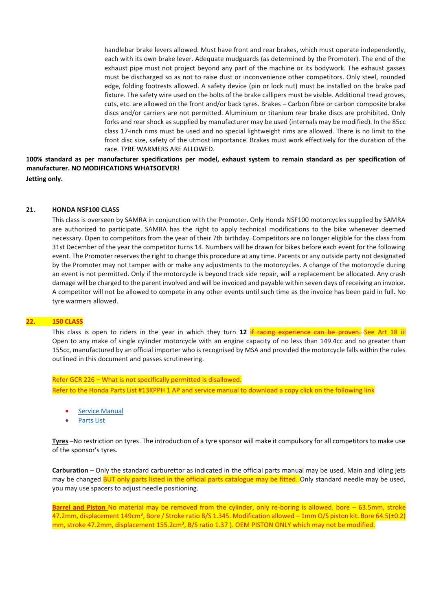handlebar brake levers allowed. Must have front and rear brakes, which must operate independently, each with its own brake lever. Adequate mudguards (as determined by the Promoter). The end of the exhaust pipe must not project beyond any part of the machine or its bodywork. The exhaust gasses must be discharged so as not to raise dust or inconvenience other competitors. Only steel, rounded edge, folding footrests allowed. A safety device (pin or lock nut) must be installed on the brake pad fixture. The safety wire used on the bolts of the brake callipers must be visible. Additional tread groves, cuts, etc. are allowed on the front and/or back tyres. Brakes – Carbon fibre or carbon composite brake discs and/or carriers are not permitted. Aluminium or titanium rear brake discs are prohibited. Only forks and rear shock as supplied by manufacturer may be used (internals may be modified). In the 85cc class 17-inch rims must be used and no special lightweight rims are allowed. There is no limit to the front disc size, safety of the utmost importance. Brakes must work effectively for the duration of the race. TYRE WARMERS ARE ALLOWED.

**100% standard as per manufacturer specifications per model, exhaust system to remain standard as per specification of manufacturer. NO MODIFICATIONS WHATSOEVER!**

**Jetting only.**

#### **21. HONDA NSF100 CLASS**

This class is overseen by SAMRA in conjunction with the Promoter. Only Honda NSF100 motorcycles supplied by SAMRA are authorized to participate. SAMRA has the right to apply technical modifications to the bike whenever deemed necessary. Open to competitors from the year of their 7th birthday. Competitors are no longer eligible for the class from 31st December of the year the competitor turns 14. Numbers will be drawn for bikes before each event for the following event. The Promoter reserves the right to change this procedure at any time. Parents or any outside party not designated by the Promoter may not tamper with or make any adjustments to the motorcycles. A change of the motorcycle during an event is not permitted. Only if the motorcycle is beyond track side repair, will a replacement be allocated. Any crash damage will be charged to the parent involved and will be invoiced and payable within seven days of receiving an invoice. A competitor will not be allowed to compete in any other events until such time as the invoice has been paid in full. No tyre warmers allowed.

#### **22. 150 CLASS**

This class is open to riders in the year in which they turn 12 if racing experience can be proven. See Art 18 iii Open to any make of single cylinder motorcycle with an engine capacity of no less than 149.4cc and no greater than 155cc, manufactured by an official importer who is recognised by MSA and provided the motorcycle falls within the rules outlined in this document and passes scrutineering.

Refer GCR 226 – What is not specifically permitted is disallowed. Refer to the Honda Parts List #13KPPH 1 AP and service manual to download a copy click on the following link

- **[Service Manual](https://eolstoragewe.blob.core.windows.net/wm-553616-cmsimages/Honda150ccServicemanual.pdf)**
- [Parts List](https://eolstoragewe.blob.core.windows.net/wm-553616-cmsimages/Honda150ccSpareparts%2313KPPH1AP.pdf)

**Tyres** –No restriction on tyres. The introduction of a tyre sponsor will make it compulsory for all competitors to make use of the sponsor's tyres.

**Carburation** – Only the standard carburettor as indicated in the official parts manual may be used. Main and idling jets may be changed BUT only parts listed in the official parts catalogue may be fitted. Only standard needle may be used, you may use spacers to adjust needle positioning.

**Barrel and Piston** No material may be removed from the cylinder, only re-boring is allowed. bore – 63.5mm, stroke 47.2mm, displacement 149cm<sup>3</sup>, Bore / Stroke ratio B/S 1.345. Modification allowed – 1mm O/S piston kit. Bore 64.5(±0.2) mm, stroke 47.2mm, displacement 155.2cm<sup>3</sup>, B/S ratio 1.37). OEM PISTON ONLY which may not be modified.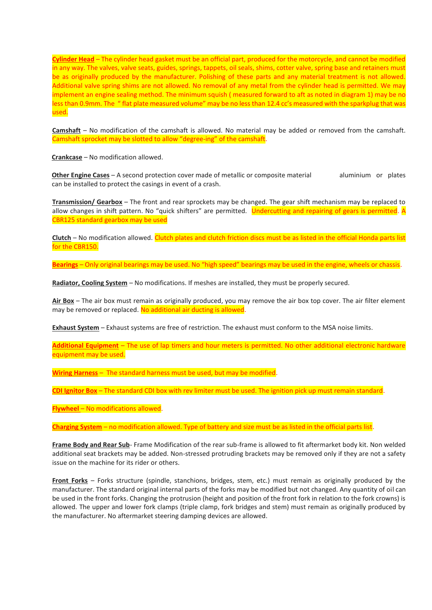**Cylinder Head** – The cylinder head gasket must be an official part, produced for the motorcycle, and cannot be modified in any way. The valves, valve seats, guides, springs, tappets, oil seals, shims, cotter valve, spring base and retainers must be as originally produced by the manufacturer. Polishing of these parts and any material treatment is not allowed. Additional valve spring shims are not allowed. No removal of any metal from the cylinder head is permitted. We may implement an engine sealing method. The minimum squish ( measured forward to aft as noted in diagram 1) may be no less than 0.9mm. The " flat plate measured volume" may be no less than 12.4 cc's measured with the sparkplug that was used.

**Camshaft** – No modification of the camshaft is allowed. No material may be added or removed from the camshaft. Camshaft sprocket may be slotted to allow "degree-ing" of the camshaft.

**Crankcase** – No modification allowed.

**Other Engine Cases** – A second protection cover made of metallic or composite material aluminium or plates can be installed to protect the casings in event of a crash.

**Transmission/ Gearbox** – The front and rear sprockets may be changed. The gear shift mechanism may be replaced to allow changes in shift pattern. No "quick shifters" are permitted. Undercutting and repairing of gears is permitted. A CBR125 standard gearbox may be used

**Clutch** – No modification allowed. Clutch plates and clutch friction discs must be as listed in the official Honda parts list for the CBR150.

**Bearings** – Only original bearings may be used. No "high speed" bearings may be used in the engine, wheels or chassis.

**Radiator, Cooling System** – No modifications. If meshes are installed, they must be properly secured.

**Air Box** – The air box must remain as originally produced, you may remove the air box top cover. The air filter element may be removed or replaced. No additional air ducting is allowed.

**Exhaust System** – Exhaust systems are free of restriction. The exhaust must conform to the MSA noise limits.

**Additional Equipment** – The use of lap timers and hour meters is permitted. No other additional electronic hardware equipment may be used.

**Wiring Harness** – The standard harness must be used, but may be modified.

**CDI Ignitor Box** – The standard CDI box with rev limiter must be used. The ignition pick up must remain standard.

**Flywheel** – No modifications allowed.

**Charging System** – no modification allowed. Type of battery and size must be as listed in the official parts list.

**Frame Body and Rear Sub**- Frame Modification of the rear sub-frame is allowed to fit aftermarket body kit. Non welded additional seat brackets may be added. Non-stressed protruding brackets may be removed only if they are not a safety issue on the machine for its rider or others.

**Front Forks** – Forks structure (spindle, stanchions, bridges, stem, etc.) must remain as originally produced by the manufacturer. The standard original internal parts of the forks may be modified but not changed. Any quantity of oil can be used in the front forks. Changing the protrusion (height and position of the front fork in relation to the fork crowns) is allowed. The upper and lower fork clamps (triple clamp, fork bridges and stem) must remain as originally produced by the manufacturer. No aftermarket steering damping devices are allowed.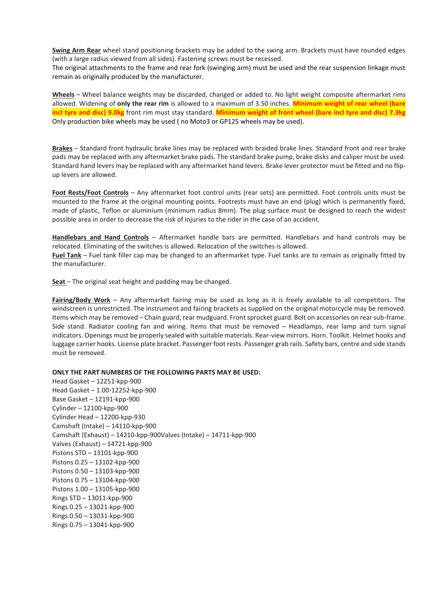**Swing Arm Rear** wheel stand positioning brackets may be added to the swing arm. Brackets must have rounded edges (with a large radius viewed from all sides). Fastening screws must be recessed.

The original attachments to the frame and rear fork (swinging arm) must be used and the rear suspension linkage must remain as originally produced by the manufacturer.

**Wheels** – Wheel balance weights may be discarded, changed or added to. No light weight composite aftermarket rims allowed. Widening of **only the rear rim** is allowed to a maximum of 3.50 inches. **Minimum weight of rear wheel (bare incl tyre and disc) 9.0kg** front rim must stay standard. **Minimum weight of front wheel (bare incl tyre and disc) 7.3kg** Only production bike wheels may be used ( no Moto3 or GP125 wheels may be used).

**Brakes** – Standard front hydraulic brake lines may be replaced with braided brake lines. Standard front and rear brake pads may be replaced with any aftermarket brake pads. The standard brake pump, brake disks and caliper must be used. Standard hand levers may be replaced with any aftermarket hand levers. Brake lever protector must be fitted and no flipup levers are allowed.

**Foot Rests/Foot Controls** – Any aftermarket foot control units (rear sets) are permitted. Foot controls units must be mounted to the frame at the original mounting points. Footrests must have an end (plug) which is permanently fixed, made of plastic, Teflon or aluminium (minimum radius 8mm). The plug surface must be designed to reach the widest possible area in order to decrease the risk of injuries to the rider in the case of an accident.

**Handlebars and Hand Controls** – Aftermarket handle bars are permitted. Handlebars and hand controls may be relocated. Eliminating of the switches is allowed. Relocation of the switches is allowed.

**Fuel Tank** – Fuel tank filler cap may be changed to an aftermarket type. Fuel tanks are to remain as originally fitted by the manufacturer.

**Seat** – The original seat height and padding may be changed.

**Fairing/Body Work** – Any aftermarket fairing may be used as long as it is freely available to all competitors. The windscreen is unrestricted. The instrument and fairing brackets as supplied on the original motorcycle may be removed. Items which may be removed – Chain guard, rear mudguard. Front sprocket guard. Bolt on accessories on rear sub-frame. Side stand. Radiator cooling fan and wiring. Items that must be removed – Headlamps, rear lamp and turn signal indicators. Openings must be properly sealed with suitable materials. Rear-view mirrors. Horn. Toolkit. Helmet hooks and luggage carrier hooks. License plate bracket. Passenger foot rests. Passenger grab rails. Safety bars, centre and side stands must be removed.

**ONLY THE PART NUMBERS OF THE FOLLOWING PARTS MAY BE USED:**

Head Gasket – 12251-kpp-900 Head Gasket – 1.00-12252-kpp-900 Base Gasket – 12191-kpp-900 Cylinder – 12100-kpp-900 Cylinder Head – 12200-kpp-930 Camshaft (Intake) – 14110-kpp-900 Camshaft (Exhaust) – 14210-kpp-900Valves (Intake) – 14711-kpp-900 Valves (Exhaust) – 14721-kpp-900 Pistons STD – 13101-kpp-900 Pistons 0.25 – 13102-kpp-900 Pistons 0.50 – 13103-kpp-900 Pistons 0.75 – 13104-kpp-900 Pistons 1.00 – 13105-kpp-900 Rings STD – 13011-kpp-900 Rings 0.25 – 13021-kpp-900 Rings 0.50 – 13031-kpp-900 Rings 0.75 – 13041-kpp-900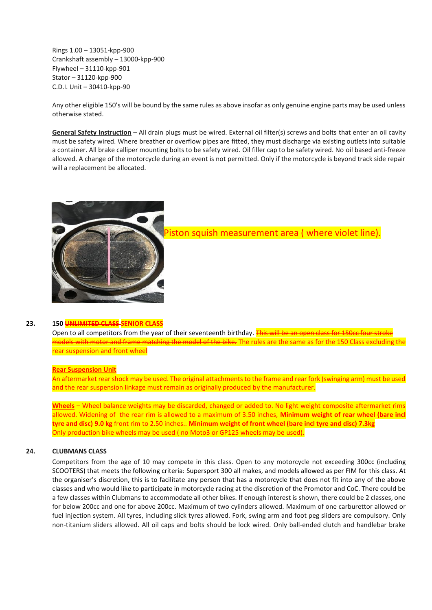Rings 1.00 – 13051-kpp-900 Crankshaft assembly – 13000-kpp-900 Flywheel – 31110-kpp-901  $Stator - 31120-knp-900$ C.D.I. Unit – 30410-kpp-90

Any other eligible 150's will be bound by the same rules as above insofar as only genuine engine parts may be used unless otherwise stated.

**General Safety Instruction** – All drain plugs must be wired. External oil filter(s) screws and bolts that enter an oil cavity must be safety wired. Where breather or overflow pipes are fitted, they must discharge via existing outlets into suitable a container. All brake calliper mounting bolts to be safety wired. Oil filler cap to be safety wired. No oil based anti-freeze allowed. A change of the motorcycle during an event is not permitted. Only if the motorcycle is beyond track side repair will a replacement be allocated.



## Piston squish measurement area ( where violet line).

#### **23. 150 UNLIMITED CLASS SENIOR CLASS**

Open to all competitors from the year of their seventeenth birthday. This will be an open class for 150cc four stroke models with motor and frame matching the model of the bike. The rules are the same as for the 150 Class excluding the rear suspension and front wheel

#### **Rear Suspension Unit**

An aftermarket rear shock may be used. The original attachments to the frame and rear fork (swinging arm) must be used and the rear suspension linkage must remain as originally produced by the manufacturer.

**Wheels** – Wheel balance weights may be discarded, changed or added to. No light weight composite aftermarket rims allowed. Widening of the rear rim is allowed to a maximum of 3.50 inches, **Minimum weight of rear wheel (bare incl tyre and disc) 9.0 kg** front rim to 2.50 inches.. **Minimum weight of front wheel (bare incl tyre and disc) 7.3kg** Only production bike wheels may be used ( no Moto3 or GP125 wheels may be used).

#### **24. CLUBMANS CLASS**

Competitors from the age of 10 may compete in this class. Open to any motorcycle not exceeding 300cc (including SCOOTERS) that meets the following criteria: Supersport 300 all makes, and models allowed as per FIM for this class. At the organiser's discretion, this is to facilitate any person that has a motorcycle that does not fit into any of the above classes and who would like to participate in motorcycle racing at the discretion of the Promotor and CoC. There could be a few classes within Clubmans to accommodate all other bikes. If enough interest is shown, there could be 2 classes, one for below 200cc and one for above 200cc. Maximum of two cylinders allowed. Maximum of one carburettor allowed or fuel injection system. All tyres, including slick tyres allowed. Fork, swing arm and foot peg sliders are compulsory. Only non-titanium sliders allowed. All oil caps and bolts should be lock wired. Only ball-ended clutch and handlebar brake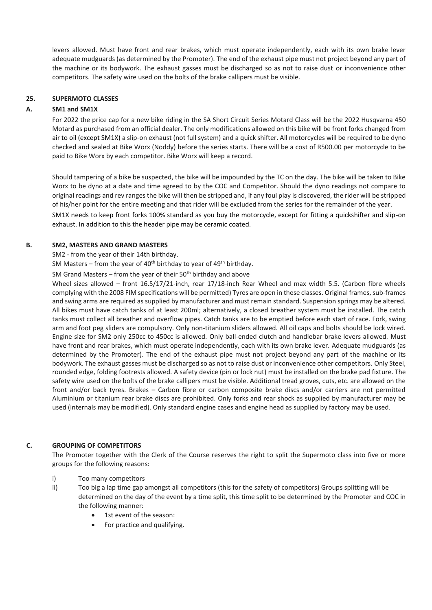levers allowed. Must have front and rear brakes, which must operate independently, each with its own brake lever adequate mudguards (as determined by the Promoter). The end of the exhaust pipe must not project beyond any part of the machine or its bodywork. The exhaust gasses must be discharged so as not to raise dust or inconvenience other competitors. The safety wire used on the bolts of the brake callipers must be visible.

#### **25. SUPERMOTO CLASSES**

#### **A. SM1 and SM1X**

For 2022 the price cap for a new bike riding in the SA Short Circuit Series Motard Class will be the 2022 Husqvarna 450 Motard as purchased from an official dealer. The only modifications allowed on this bike will be front forks changed from air to oil (except SM1X) a slip-on exhaust (not full system) and a quick shifter. All motorcycles will be required to be dyno checked and sealed at Bike Worx (Noddy) before the series starts. There will be a cost of R500.00 per motorcycle to be paid to Bike Worx by each competitor. Bike Worx will keep a record.

Should tampering of a bike be suspected, the bike will be impounded by the TC on the day. The bike will be taken to Bike Worx to be dyno at a date and time agreed to by the COC and Competitor. Should the dyno readings not compare to original readings and rev ranges the bike will then be stripped and, if any foul play is discovered, the rider will be stripped of his/her point for the entire meeting and that rider will be excluded from the series for the remainder of the year. SM1X needs to keep front forks 100% standard as you buy the motorcycle, except for fitting a quickshifter and slip-on

#### **B. SM2, MASTERS AND GRAND MASTERS**

#### SM2 - from the year of their 14th birthday.

SM Masters – from the year of  $40^{th}$  birthday to year of  $49^{th}$  birthday.

exhaust. In addition to this the header pipe may be ceramic coated.

SM Grand Masters – from the year of their  $50<sup>th</sup>$  birthday and above

Wheel sizes allowed – front 16.5/17/21-inch, rear 17/18-inch Rear Wheel and max width 5.5. (Carbon fibre wheels complying with the 2008 FIM specifications will be permitted) Tyres are open in these classes. Original frames, sub-frames and swing arms are required as supplied by manufacturer and must remain standard. Suspension springs may be altered. All bikes must have catch tanks of at least 200ml; alternatively, a closed breather system must be installed. The catch tanks must collect all breather and overflow pipes. Catch tanks are to be emptied before each start of race. Fork, swing arm and foot peg sliders are compulsory. Only non-titanium sliders allowed. All oil caps and bolts should be lock wired. Engine size for SM2 only 250cc to 450cc is allowed. Only ball-ended clutch and handlebar brake levers allowed. Must have front and rear brakes, which must operate independently, each with its own brake lever. Adequate mudguards (as determined by the Promoter). The end of the exhaust pipe must not project beyond any part of the machine or its bodywork. The exhaust gasses must be discharged so as not to raise dust or inconvenience other competitors. Only Steel, rounded edge, folding footrests allowed. A safety device (pin or lock nut) must be installed on the brake pad fixture. The safety wire used on the bolts of the brake callipers must be visible. Additional tread groves, cuts, etc. are allowed on the front and/or back tyres. Brakes – Carbon fibre or carbon composite brake discs and/or carriers are not permitted Aluminium or titanium rear brake discs are prohibited. Only forks and rear shock as supplied by manufacturer may be used (internals may be modified). Only standard engine cases and engine head as supplied by factory may be used.

#### **C. GROUPING OF COMPETITORS**

The Promoter together with the Clerk of the Course reserves the right to split the Supermoto class into five or more groups for the following reasons:

- i) Too many competitors
- ii) Too big a lap time gap amongst all competitors (this for the safety of competitors) Groups splitting will be determined on the day of the event by a time split, this time split to be determined by the Promoter and COC in the following manner:
	- 1st event of the season:
	- For practice and qualifying.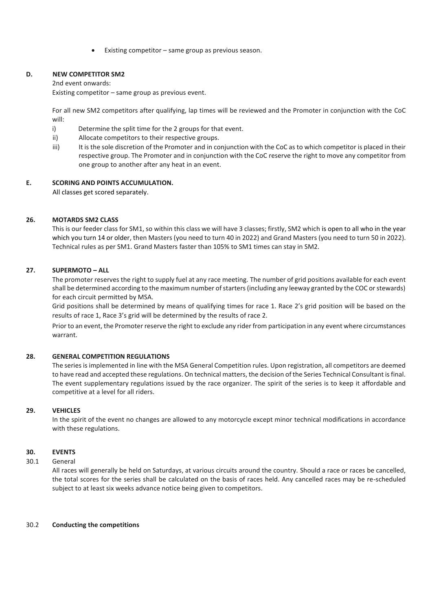Existing competitor  $-$  same group as previous season.

#### **D. NEW COMPETITOR SM2**

2nd event onwards:

Existing competitor – same group as previous event.

For all new SM2 competitors after qualifying, lap times will be reviewed and the Promoter in conjunction with the CoC will:

- i) Determine the split time for the 2 groups for that event.
- ii) Allocate competitors to their respective groups.
- iii) It is the sole discretion of the Promoter and in conjunction with the CoC as to which competitor is placed in their respective group. The Promoter and in conjunction with the CoC reserve the right to move any competitor from one group to another after any heat in an event.

#### **E. SCORING AND POINTS ACCUMULATION.**

All classes get scored separately.

#### **26. MOTARDS SM2 CLASS**

This is our feeder class for SM1, so within this class we will have 3 classes; firstly, SM2 which is open to all who in the year which you turn 14 or older, then Masters (you need to turn 40 in 2022) and Grand Masters (you need to turn 50 in 2022). Technical rules as per SM1. Grand Masters faster than 105% to SM1 times can stay in SM2.

#### **27. SUPERMOTO – ALL**

The promoter reserves the right to supply fuel at any race meeting. The number of grid positions available for each event shall be determined according to the maximum number of starters (including any leeway granted by the COC or stewards) for each circuit permitted by MSA.

Grid positions shall be determined by means of qualifying times for race 1. Race 2's grid position will be based on the results of race 1, Race 3's grid will be determined by the results of race 2.

Prior to an event, the Promoter reserve the right to exclude any rider from participation in any event where circumstances warrant.

#### **28. GENERAL COMPETITION REGULATIONS**

The series is implemented in line with the MSA General Competition rules. Upon registration, all competitors are deemed to have read and accepted these regulations. On technical matters, the decision of the Series Technical Consultant is final. The event supplementary regulations issued by the race organizer. The spirit of the series is to keep it affordable and competitive at a level for all riders.

#### **29. VEHICLES**

In the spirit of the event no changes are allowed to any motorcycle except minor technical modifications in accordance with these regulations.

#### **30. EVENTS**

#### 30.1 General

All races will generally be held on Saturdays, at various circuits around the country. Should a race or races be cancelled, the total scores for the series shall be calculated on the basis of races held. Any cancelled races may be re-scheduled subject to at least six weeks advance notice being given to competitors.

#### 30.2 **Conducting the competitions**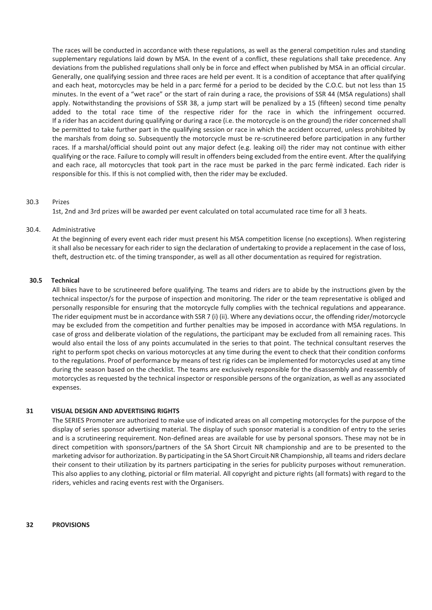The races will be conducted in accordance with these regulations, as well as the general competition rules and standing supplementary regulations laid down by MSA. In the event of a conflict, these regulations shall take precedence. Any deviations from the published regulations shall only be in force and effect when published by MSA in an official circular. Generally, one qualifying session and three races are held per event. It is a condition of acceptance that after qualifying and each heat, motorcycles may be held in a parc fermé for a period to be decided by the C.O.C. but not less than 15 minutes. In the event of a "wet race" or the start of rain during a race, the provisions of SSR 44 (MSA regulations) shall apply. Notwithstanding the provisions of SSR 38, a jump start will be penalized by a 15 (fifteen) second time penalty added to the total race time of the respective rider for the race in which the infringement occurred. If a rider has an accident during qualifying or during a race (i.e. the motorcycle is on the ground) the rider concerned shall be permitted to take further part in the qualifying session or race in which the accident occurred, unless prohibited by the marshals from doing so. Subsequently the motorcycle must be re-scrutineered before participation in any further races. If a marshal/official should point out any major defect (e.g. leaking oil) the rider may not continue with either qualifying or the race. Failure to comply will result in offenders being excluded from the entire event. After the qualifying and each race, all motorcycles that took part in the race must be parked in the parc fermè indicated. Each rider is responsible for this. If this is not complied with, then the rider may be excluded.

#### 30.3 Prizes

1st, 2nd and 3rd prizes will be awarded per event calculated on total accumulated race time for all 3 heats.

#### 30.4. Administrative

At the beginning of every event each rider must present his MSA competition license (no exceptions). When registering it shall also be necessary for each rider to sign the declaration of undertaking to provide a replacement in the case of loss, theft, destruction etc. of the timing transponder, as well as all other documentation as required for registration.

#### **30.5 Technical**

All bikes have to be scrutineered before qualifying. The teams and riders are to abide by the instructions given by the technical inspector/s for the purpose of inspection and monitoring. The rider or the team representative is obliged and personally responsible for ensuring that the motorcycle fully complies with the technical regulations and appearance. The rider equipment must be in accordance with SSR 7 (i) (ii). Where any deviations occur, the offending rider/motorcycle may be excluded from the competition and further penalties may be imposed in accordance with MSA regulations. In case of gross and deliberate violation of the regulations, the participant may be excluded from all remaining races. This would also entail the loss of any points accumulated in the series to that point. The technical consultant reserves the right to perform spot checks on various motorcycles at any time during the event to check that their condition conforms to the regulations. Proof of performance by means of test rig rides can be implemented for motorcycles used at any time during the season based on the checklist. The teams are exclusively responsible for the disassembly and reassembly of motorcycles as requested by the technical inspector or responsible persons of the organization, as well as any associated expenses.

#### **31 VISUAL DESIGN AND ADVERTISING RIGHTS**

The SERIES Promoter are authorized to make use of indicated areas on all competing motorcycles for the purpose of the display of series sponsor advertising material. The display of such sponsor material is a condition of entry to the series and is a scrutineering requirement. Non-defined areas are available for use by personal sponsors. These may not be in direct competition with sponsors/partners of the SA Short Circuit NR championship and are to be presented to the marketing advisor for authorization. By participating in the SA Short Circuit NR Championship, all teams and riders declare their consent to their utilization by its partners participating in the series for publicity purposes without remuneration. This also applies to any clothing, pictorial or film material. All copyright and picture rights (all formats) with regard to the riders, vehicles and racing events rest with the Organisers.

#### **32 PROVISIONS**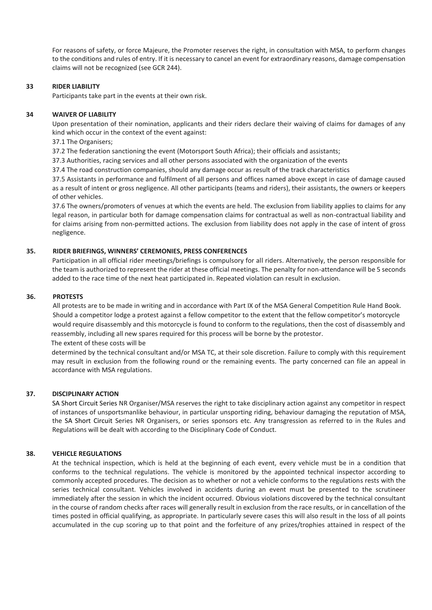For reasons of safety, or force Majeure, the Promoter reserves the right, in consultation with MSA, to perform changes to the conditions and rules of entry. If it is necessary to cancel an event for extraordinary reasons, damage compensation claims will not be recognized (see GCR 244).

#### **33 RIDER LIABILITY**

Participants take part in the events at their own risk.

#### **34 WAIVER OF LIABILITY**

Upon presentation of their nomination, applicants and their riders declare their waiving of claims for damages of any kind which occur in the context of the event against:

#### 37.1 The Organisers;

37.2 The federation sanctioning the event (Motorsport South Africa); their officials and assistants;

37.3 Authorities, racing services and all other persons associated with the organization of the events

37.4 The road construction companies, should any damage occur as result of the track characteristics

37.5 Assistants in performance and fulfilment of all persons and offices named above except in case of damage caused as a result of intent or gross negligence. All other participants (teams and riders), their assistants, the owners or keepers of other vehicles.

37.6 The owners/promoters of venues at which the events are held. The exclusion from liability applies to claims for any legal reason, in particular both for damage compensation claims for contractual as well as non-contractual liability and for claims arising from non-permitted actions. The exclusion from liability does not apply in the case of intent of gross negligence.

#### **35. RIDER BRIEFINGS, WINNERS' CEREMONIES, PRESS CONFERENCES**

Participation in all official rider meetings/briefings is compulsory for all riders. Alternatively, the person responsible for the team is authorized to represent the rider at these official meetings. The penalty for non-attendance will be 5 seconds added to the race time of the next heat participated in. Repeated violation can result in exclusion.

#### **36. PROTESTS**

 All protests are to be made in writing and in accordance with Part IX of the MSA General Competition Rule Hand Book. Should a competitor lodge a protest against a fellow competitor to the extent that the fellow competitor's motorcycle would require disassembly and this motorcycle is found to conform to the regulations, then the cost of disassembly and reassembly, including all new spares required for this process will be borne by the protestor. The extent of these costs will be

determined by the technical consultant and/or MSA TC, at their sole discretion. Failure to comply with this requirement may result in exclusion from the following round or the remaining events. The party concerned can file an appeal in accordance with MSA regulations.

#### **37. DISCIPLINARY ACTION**

SA Short Circuit Series NR Organiser/MSA reserves the right to take disciplinary action against any competitor in respect of instances of unsportsmanlike behaviour, in particular unsporting riding, behaviour damaging the reputation of MSA, the SA Short Circuit Series NR Organisers, or series sponsors etc. Any transgression as referred to in the Rules and Regulations will be dealt with according to the Disciplinary Code of Conduct.

#### **38. VEHICLE REGULATIONS**

At the technical inspection, which is held at the beginning of each event, every vehicle must be in a condition that conforms to the technical regulations. The vehicle is monitored by the appointed technical inspector according to commonly accepted procedures. The decision as to whether or not a vehicle conforms to the regulations rests with the series technical consultant. Vehicles involved in accidents during an event must be presented to the scrutineer immediately after the session in which the incident occurred. Obvious violations discovered by the technical consultant in the course of random checks after races will generally result in exclusion from the race results, or in cancellation of the times posted in official qualifying, as appropriate. In particularly severe cases this will also result in the loss of all points accumulated in the cup scoring up to that point and the forfeiture of any prizes/trophies attained in respect of the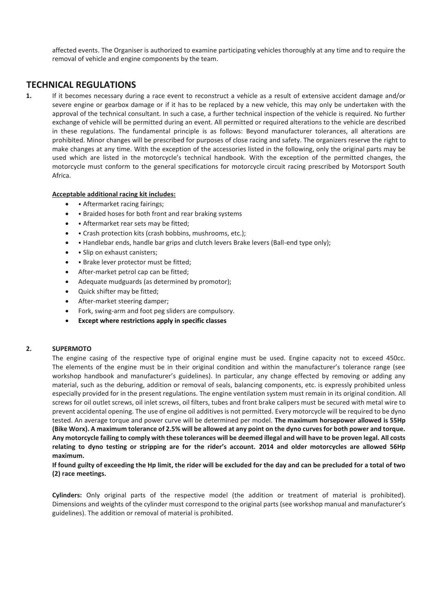affected events. The Organiser is authorized to examine participating vehicles thoroughly at any time and to require the removal of vehicle and engine components by the team.

## **TECHNICAL REGULATIONS**

**1.** If it becomes necessary during a race event to reconstruct a vehicle as a result of extensive accident damage and/or severe engine or gearbox damage or if it has to be replaced by a new vehicle, this may only be undertaken with the approval of the technical consultant. In such a case, a further technical inspection of the vehicle is required. No further exchange of vehicle will be permitted during an event. All permitted or required alterations to the vehicle are described in these regulations. The fundamental principle is as follows: Beyond manufacturer tolerances, all alterations are prohibited. Minor changes will be prescribed for purposes of close racing and safety. The organizers reserve the right to make changes at any time. With the exception of the accessories listed in the following, only the original parts may be used which are listed in the motorcycle's technical handbook. With the exception of the permitted changes, the motorcycle must conform to the general specifications for motorcycle circuit racing prescribed by Motorsport South Africa.

#### **Acceptable additional racing kit includes:**

- • Aftermarket racing fairings;
- • Braided hoses for both front and rear braking systems
- Aftermarket rear sets may be fitted;
- • Crash protection kits (crash bobbins, mushrooms, etc.);
- Handlebar ends, handle bar grips and clutch levers Brake levers (Ball-end type only);
- • Slip on exhaust canisters:
- Brake lever protector must be fitted;
- After-market petrol cap can be fitted;
- Adequate mudguards (as determined by promotor);
- Quick shifter may be fitted;
- After-market steering damper;
- Fork, swing-arm and foot peg sliders are compulsory.
- **Except where restrictions apply in specific classes**

#### **2. SUPERMOTO**

The engine casing of the respective type of original engine must be used. Engine capacity not to exceed 450cc. The elements of the engine must be in their original condition and within the manufacturer's tolerance range (see workshop handbook and manufacturer's guidelines). In particular, any change effected by removing or adding any material, such as the deburing, addition or removal of seals, balancing components, etc. is expressly prohibited unless especially provided for in the present regulations. The engine ventilation system must remain in its original condition. All screws for oil outlet screws, oil inlet screws, oil filters, tubes and front brake calipers must be secured with metal wire to prevent accidental opening. The use of engine oil additives is not permitted. Every motorcycle will be required to be dyno tested. An average torque and power curve will be determined per model. **The maximum horsepower allowed is 55Hp (Bike Worx). A maximum tolerance of 2.5% will be allowed at any point on the dyno curves for both power and torque. Any motorcycle failing to comply with these tolerances will be deemed illegal and will have to be proven legal. All costs relating to dyno testing or stripping are for the rider's account. 2014 and older motorcycles are allowed 56Hp maximum.** 

**If found guilty of exceeding the Hp limit, the rider will be excluded for the day and can be precluded for a total of two (2) race meetings.**

**Cylinders:** Only original parts of the respective model (the addition or treatment of material is prohibited). Dimensions and weights of the cylinder must correspond to the original parts (see workshop manual and manufacturer's guidelines). The addition or removal of material is prohibited.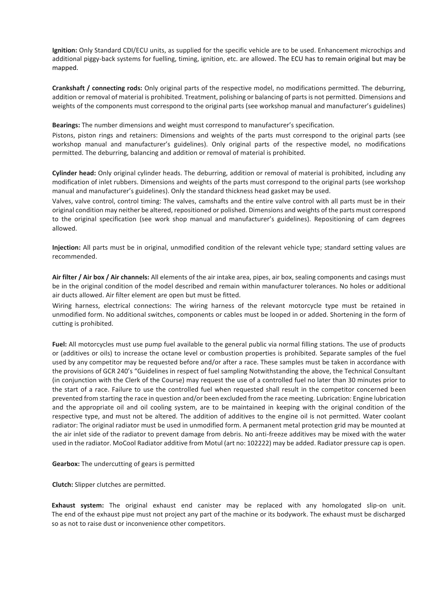**Ignition:** Only Standard CDI/ECU units, as supplied for the specific vehicle are to be used. Enhancement microchips and additional piggy-back systems for fuelling, timing, ignition, etc. are allowed. The ECU has to remain original but may be mapped.

**Crankshaft / connecting rods:** Only original parts of the respective model, no modifications permitted. The deburring, addition or removal of material is prohibited. Treatment, polishing or balancing of parts is not permitted. Dimensions and weights of the components must correspond to the original parts (see workshop manual and manufacturer's guidelines)

**Bearings:** The number dimensions and weight must correspond to manufacturer's specification.

Pistons, piston rings and retainers: Dimensions and weights of the parts must correspond to the original parts (see workshop manual and manufacturer's guidelines). Only original parts of the respective model, no modifications permitted. The deburring, balancing and addition or removal of material is prohibited.

**Cylinder head:** Only original cylinder heads. The deburring, addition or removal of material is prohibited, including any modification of inlet rubbers. Dimensions and weights of the parts must correspond to the original parts (see workshop manual and manufacturer's guidelines). Only the standard thickness head gasket may be used.

Valves, valve control, control timing: The valves, camshafts and the entire valve control with all parts must be in their original condition may neither be altered, repositioned or polished. Dimensions and weights of the parts must correspond to the original specification (see work shop manual and manufacturer's guidelines). Repositioning of cam degrees allowed.

**Injection:** All parts must be in original, unmodified condition of the relevant vehicle type; standard setting values are recommended.

**Air filter / Air box / Air channels:** All elements of the air intake area, pipes, air box, sealing components and casings must be in the original condition of the model described and remain within manufacturer tolerances. No holes or additional air ducts allowed. Air filter element are open but must be fitted.

Wiring harness, electrical connections: The wiring harness of the relevant motorcycle type must be retained in unmodified form. No additional switches, components or cables must be looped in or added. Shortening in the form of cutting is prohibited.

**Fuel:** All motorcycles must use pump fuel available to the general public via normal filling stations. The use of products or (additives or oils) to increase the octane level or combustion properties is prohibited. Separate samples of the fuel used by any competitor may be requested before and/or after a race. These samples must be taken in accordance with the provisions of GCR 240's "Guidelines in respect of fuel sampling Notwithstanding the above, the Technical Consultant (in conjunction with the Clerk of the Course) may request the use of a controlled fuel no later than 30 minutes prior to the start of a race. Failure to use the controlled fuel when requested shall result in the competitor concerned been prevented from starting the race in question and/or been excluded from the race meeting. Lubrication: Engine lubrication and the appropriate oil and oil cooling system, are to be maintained in keeping with the original condition of the respective type, and must not be altered. The addition of additives to the engine oil is not permitted. Water coolant radiator: The original radiator must be used in unmodified form. A permanent metal protection grid may be mounted at the air inlet side of the radiator to prevent damage from debris. No anti-freeze additives may be mixed with the water used in the radiator. MoCool Radiator additive from Motul (art no: 102222) may be added. Radiator pressure cap is open.

**Gearbox:** The undercutting of gears is permitted

**Clutch:** Slipper clutches are permitted.

**Exhaust system:** The original exhaust end canister may be replaced with any homologated slip-on unit. The end of the exhaust pipe must not project any part of the machine or its bodywork. The exhaust must be discharged so as not to raise dust or inconvenience other competitors.